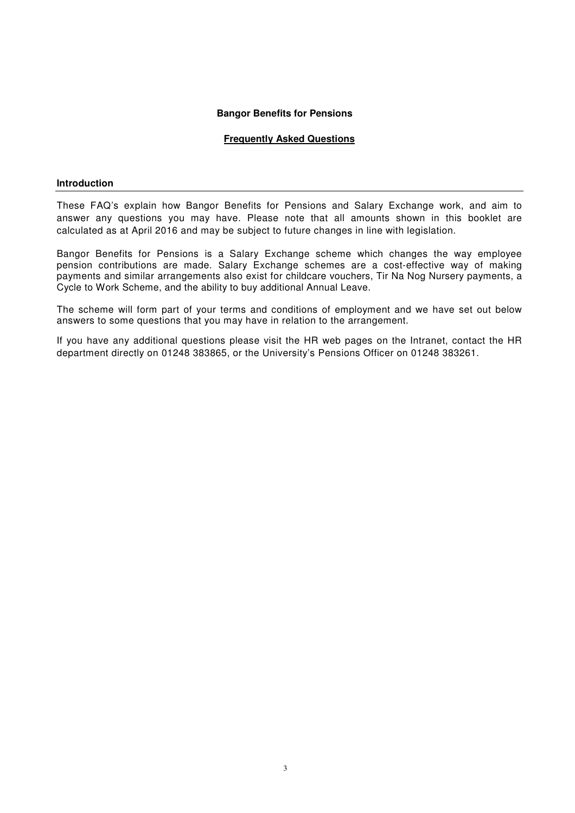### **Bangor Benefits for Pensions**

### **Frequently Asked Questions**

#### **Introduction**

These FAQ's explain how Bangor Benefits for Pensions and Salary Exchange work, and aim to answer any questions you may have. Please note that all amounts shown in this booklet are calculated as at April 2016 and may be subject to future changes in line with legislation.

Bangor Benefits for Pensions is a Salary Exchange scheme which changes the way employee pension contributions are made. Salary Exchange schemes are a cost-effective way of making payments and similar arrangements also exist for childcare vouchers, Tir Na Nog Nursery payments, a Cycle to Work Scheme, and the ability to buy additional Annual Leave.

The scheme will form part of your terms and conditions of employment and we have set out below answers to some questions that you may have in relation to the arrangement.

If you have any additional questions please visit the HR web pages on the Intranet, contact the HR department directly on 01248 383865, or the University's Pensions Officer on 01248 383261.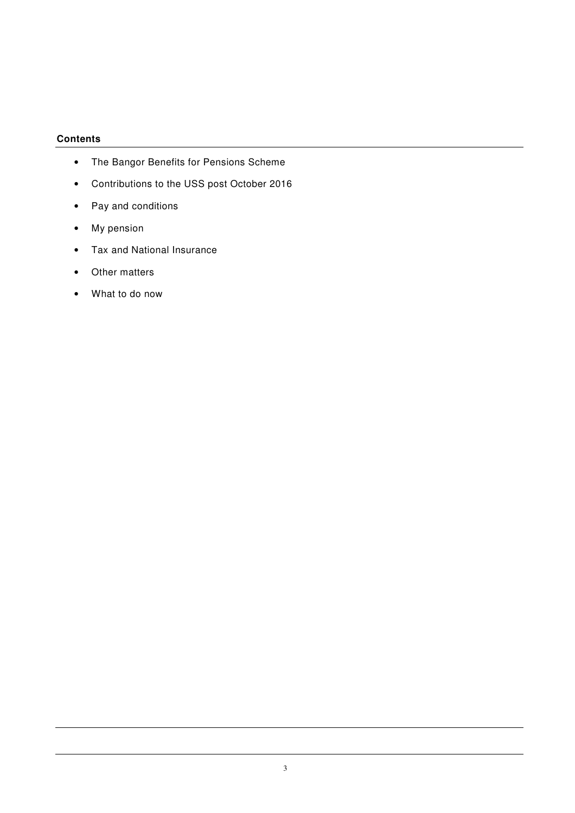# **Contents**

- The Bangor Benefits for Pensions Scheme
- Contributions to the USS post October 2016
- Pay and conditions
- My pension
- Tax and National Insurance
- Other matters
- What to do now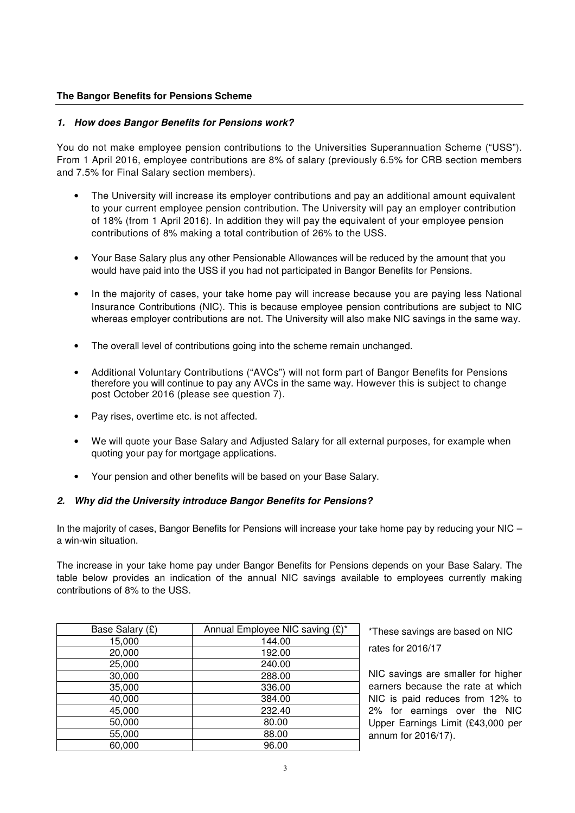# **The Bangor Benefits for Pensions Scheme**

### **1. How does Bangor Benefits for Pensions work?**

You do not make employee pension contributions to the Universities Superannuation Scheme ("USS"). From 1 April 2016, employee contributions are 8% of salary (previously 6.5% for CRB section members and 7.5% for Final Salary section members).

- The University will increase its employer contributions and pay an additional amount equivalent to your current employee pension contribution. The University will pay an employer contribution of 18% (from 1 April 2016). In addition they will pay the equivalent of your employee pension contributions of 8% making a total contribution of 26% to the USS.
- Your Base Salary plus any other Pensionable Allowances will be reduced by the amount that you would have paid into the USS if you had not participated in Bangor Benefits for Pensions.
- In the majority of cases, your take home pay will increase because you are paying less National Insurance Contributions (NIC). This is because employee pension contributions are subject to NIC whereas employer contributions are not. The University will also make NIC savings in the same way.
- The overall level of contributions going into the scheme remain unchanged.
- Additional Voluntary Contributions ("AVCs") will not form part of Bangor Benefits for Pensions therefore you will continue to pay any AVCs in the same way. However this is subject to change post October 2016 (please see question 7).
- Pay rises, overtime etc. is not affected.
- We will quote your Base Salary and Adjusted Salary for all external purposes, for example when quoting your pay for mortgage applications.
- Your pension and other benefits will be based on your Base Salary.

#### **2. Why did the University introduce Bangor Benefits for Pensions?**

In the majority of cases, Bangor Benefits for Pensions will increase your take home pay by reducing your NIC – a win-win situation.

The increase in your take home pay under Bangor Benefits for Pensions depends on your Base Salary. The table below provides an indication of the annual NIC savings available to employees currently making contributions of 8% to the USS.

| Base Salary (£) | Annual Employee NIC saving (£)* |
|-----------------|---------------------------------|
| 15,000          | 144.00                          |
| 20,000          | 192.00                          |
| 25,000          | 240.00                          |
| 30,000          | 288.00                          |
| 35,000          | 336.00                          |
| 40,000          | 384.00                          |
| 45,000          | 232.40                          |
| 50,000          | 80.00                           |
| 55,000          | 88.00                           |
| 60,000          | 96.00                           |

\*These savings are based on NIC rates for 2016/17

NIC savings are smaller for higher earners because the rate at which NIC is paid reduces from 12% to 2% for earnings over the NIC Upper Earnings Limit (£43,000 per annum for 2016/17).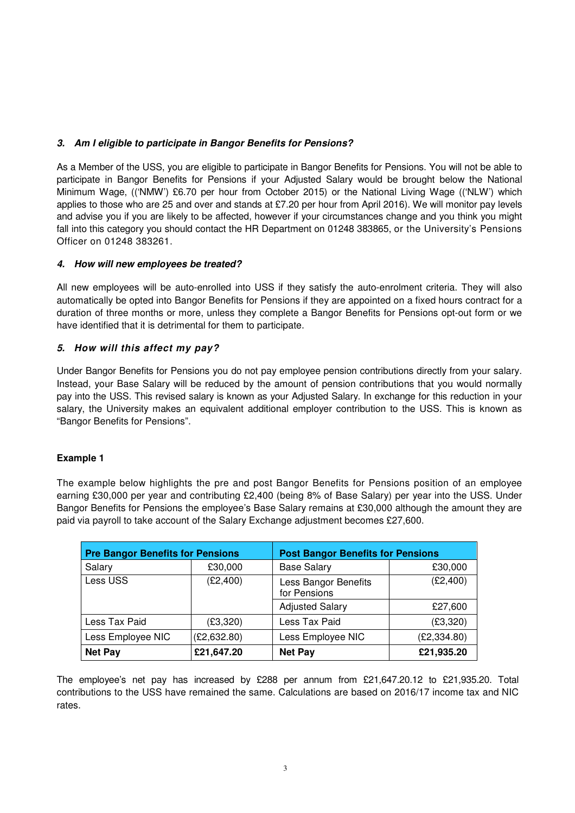# **3. Am I eligible to participate in Bangor Benefits for Pensions?**

As a Member of the USS, you are eligible to participate in Bangor Benefits for Pensions. You will not be able to participate in Bangor Benefits for Pensions if your Adjusted Salary would be brought below the National Minimum Wage, (('NMW') £6.70 per hour from October 2015) or the National Living Wage (('NLW') which applies to those who are 25 and over and stands at £7.20 per hour from April 2016). We will monitor pay levels and advise you if you are likely to be affected, however if your circumstances change and you think you might fall into this category you should contact the HR Department on 01248 383865, or the University's Pensions Officer on 01248 383261.

# **4. How will new employees be treated?**

All new employees will be auto-enrolled into USS if they satisfy the auto-enrolment criteria. They will also automatically be opted into Bangor Benefits for Pensions if they are appointed on a fixed hours contract for a duration of three months or more, unless they complete a Bangor Benefits for Pensions opt-out form or we have identified that it is detrimental for them to participate.

# **5. How will this affect my pay?**

Under Bangor Benefits for Pensions you do not pay employee pension contributions directly from your salary. Instead, your Base Salary will be reduced by the amount of pension contributions that you would normally pay into the USS. This revised salary is known as your Adjusted Salary. In exchange for this reduction in your salary, the University makes an equivalent additional employer contribution to the USS. This is known as "Bangor Benefits for Pensions".

# **Example 1**

The example below highlights the pre and post Bangor Benefits for Pensions position of an employee earning £30,000 per year and contributing £2,400 (being 8% of Base Salary) per year into the USS. Under Bangor Benefits for Pensions the employee's Base Salary remains at £30,000 although the amount they are paid via payroll to take account of the Salary Exchange adjustment becomes £27,600.

| <b>Pre Bangor Benefits for Pensions</b> |              | <b>Post Bangor Benefits for Pensions</b> |              |
|-----------------------------------------|--------------|------------------------------------------|--------------|
| Salary                                  | £30,000      | <b>Base Salary</b>                       | £30,000      |
| Less USS                                | (E2, 400)    | Less Bangor Benefits<br>for Pensions     | (E2, 400)    |
|                                         |              | <b>Adjusted Salary</b>                   | £27,600      |
| Less Tax Paid                           | (E3, 320)    | Less Tax Paid                            | (E3, 320)    |
| Less Employee NIC                       | (E2, 632.80) | Less Employee NIC                        | (E2, 334.80) |
| <b>Net Pay</b>                          | £21,647.20   | <b>Net Pay</b>                           | £21,935.20   |

The employee's net pay has increased by £288 per annum from £21,647.20.12 to £21,935.20. Total contributions to the USS have remained the same. Calculations are based on 2016/17 income tax and NIC rates.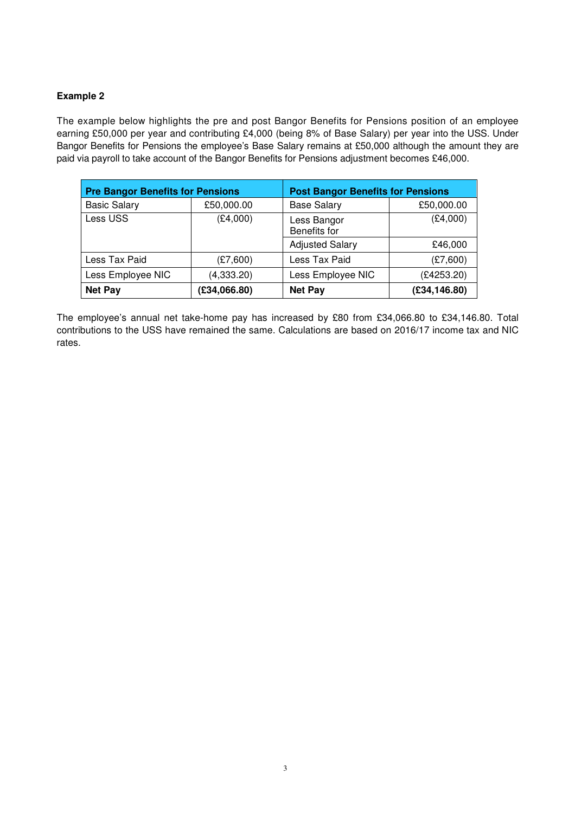# **Example 2**

The example below highlights the pre and post Bangor Benefits for Pensions position of an employee earning £50,000 per year and contributing £4,000 (being 8% of Base Salary) per year into the USS. Under Bangor Benefits for Pensions the employee's Base Salary remains at £50,000 although the amount they are paid via payroll to take account of the Bangor Benefits for Pensions adjustment becomes £46,000.

| <b>Pre Bangor Benefits for Pensions</b> |              | <b>Post Bangor Benefits for Pensions</b> |               |
|-----------------------------------------|--------------|------------------------------------------|---------------|
| <b>Basic Salary</b>                     | £50,000.00   | <b>Base Salary</b>                       | £50,000.00    |
| Less USS                                | (E4,000)     | Less Bangor<br>Benefits for              | (E4,000)      |
|                                         |              | <b>Adjusted Salary</b>                   | £46,000       |
| Less Tax Paid                           | (E7,600)     | Less Tax Paid                            | (E7,600)      |
| Less Employee NIC                       | (4,333.20)   | Less Employee NIC                        | (E4253.20)    |
| <b>Net Pay</b>                          | (E34,066.80) | <b>Net Pay</b>                           | (E34, 146.80) |

The employee's annual net take-home pay has increased by £80 from £34,066.80 to £34,146.80. Total contributions to the USS have remained the same. Calculations are based on 2016/17 income tax and NIC rates.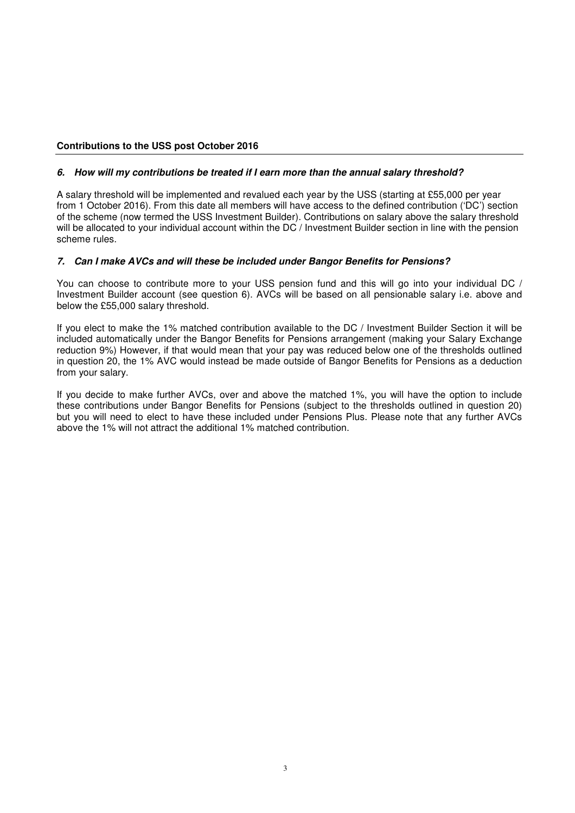# **Contributions to the USS post October 2016**

### **6. How will my contributions be treated if I earn more than the annual salary threshold?**

A salary threshold will be implemented and revalued each year by the USS (starting at £55,000 per year from 1 October 2016). From this date all members will have access to the defined contribution ('DC') section of the scheme (now termed the USS Investment Builder). Contributions on salary above the salary threshold will be allocated to your individual account within the DC / Investment Builder section in line with the pension scheme rules.

### **7. Can I make AVCs and will these be included under Bangor Benefits for Pensions?**

You can choose to contribute more to your USS pension fund and this will go into your individual DC / Investment Builder account (see question 6). AVCs will be based on all pensionable salary i.e. above and below the £55,000 salary threshold.

If you elect to make the 1% matched contribution available to the DC / Investment Builder Section it will be included automatically under the Bangor Benefits for Pensions arrangement (making your Salary Exchange reduction 9%) However, if that would mean that your pay was reduced below one of the thresholds outlined in question 20, the 1% AVC would instead be made outside of Bangor Benefits for Pensions as a deduction from your salary.

If you decide to make further AVCs, over and above the matched 1%, you will have the option to include these contributions under Bangor Benefits for Pensions (subject to the thresholds outlined in question 20) but you will need to elect to have these included under Pensions Plus. Please note that any further AVCs above the 1% will not attract the additional 1% matched contribution.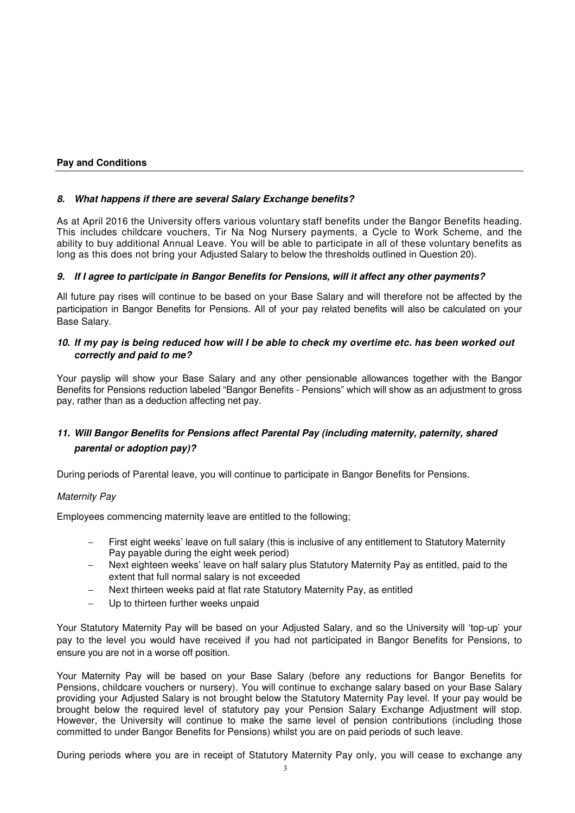### **Pay and Conditions**

### **8. What happens if there are several Salary Exchange benefits?**

As at April 2016 the University offers various voluntary staff benefits under the Bangor Benefits heading. This includes childcare vouchers, Tir Na Nog Nursery payments, a Cycle to Work Scheme, and the ability to buy additional Annual Leave. You will be able to participate in all of these voluntary benefits as long as this does not bring your Adjusted Salary to below the thresholds outlined in Question 20).

### **9. If I agree to participate in Bangor Benefits for Pensions, will it affect any other payments?**

All future pay rises will continue to be based on your Base Salary and will therefore not be affected by the participation in Bangor Benefits for Pensions. All of your pay related benefits will also be calculated on your Base Salary.

### **10. If my pay is being reduced how will I be able to check my overtime etc. has been worked out correctly and paid to me?**

Your payslip will show your Base Salary and any other pensionable allowances together with the Bangor Benefits for Pensions reduction labeled "Bangor Benefits - Pensions" which will show as an adjustment to gross pay, rather than as a deduction affecting net pay.

# **11. Will Bangor Benefits for Pensions affect Parental Pay (including maternity, paternity, shared parental or adoption pay)?**

During periods of Parental leave, you will continue to participate in Bangor Benefits for Pensions.

### Maternity Pay

Employees commencing maternity leave are entitled to the following;

- − First eight weeks' leave on full salary (this is inclusive of any entitlement to Statutory Maternity Pay payable during the eight week period)
- Next eighteen weeks' leave on half salary plus Statutory Maternity Pay as entitled, paid to the extent that full normal salary is not exceeded
- Next thirteen weeks paid at flat rate Statutory Maternity Pay, as entitled
- Up to thirteen further weeks unpaid

Your Statutory Maternity Pay will be based on your Adjusted Salary, and so the University will 'top-up' your pay to the level you would have received if you had not participated in Bangor Benefits for Pensions, to ensure you are not in a worse off position.

Your Maternity Pay will be based on your Base Salary (before any reductions for Bangor Benefits for Pensions, childcare vouchers or nursery). You will continue to exchange salary based on your Base Salary providing your Adjusted Salary is not brought below the Statutory Maternity Pay level. If your pay would be brought below the required level of statutory pay your Pension Salary Exchange Adjustment will stop. However, the University will continue to make the same level of pension contributions (including those committed to under Bangor Benefits for Pensions) whilst you are on paid periods of such leave.

During periods where you are in receipt of Statutory Maternity Pay only, you will cease to exchange any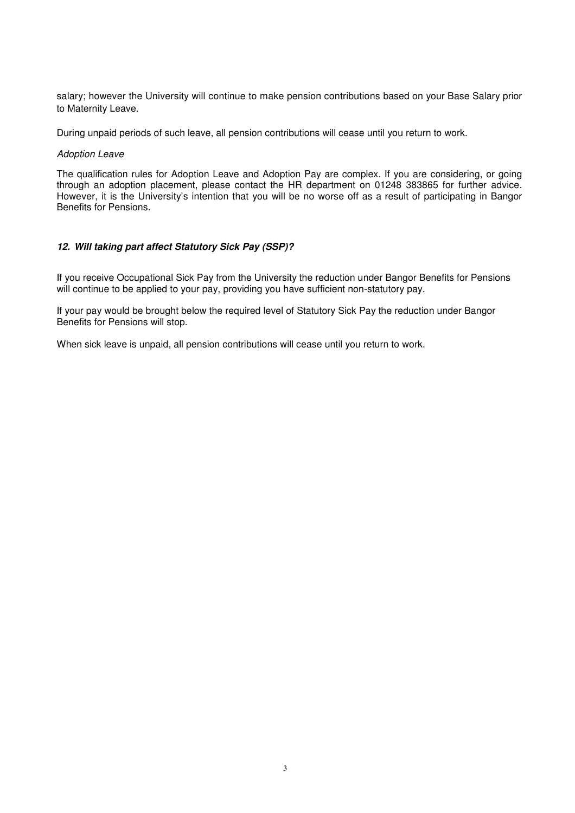salary; however the University will continue to make pension contributions based on your Base Salary prior to Maternity Leave.

During unpaid periods of such leave, all pension contributions will cease until you return to work.

### Adoption Leave

The qualification rules for Adoption Leave and Adoption Pay are complex. If you are considering, or going through an adoption placement, please contact the HR department on 01248 383865 for further advice. However, it is the University's intention that you will be no worse off as a result of participating in Bangor Benefits for Pensions.

# **12. Will taking part affect Statutory Sick Pay (SSP)?**

If you receive Occupational Sick Pay from the University the reduction under Bangor Benefits for Pensions will continue to be applied to your pay, providing you have sufficient non-statutory pay.

If your pay would be brought below the required level of Statutory Sick Pay the reduction under Bangor Benefits for Pensions will stop.

When sick leave is unpaid, all pension contributions will cease until you return to work.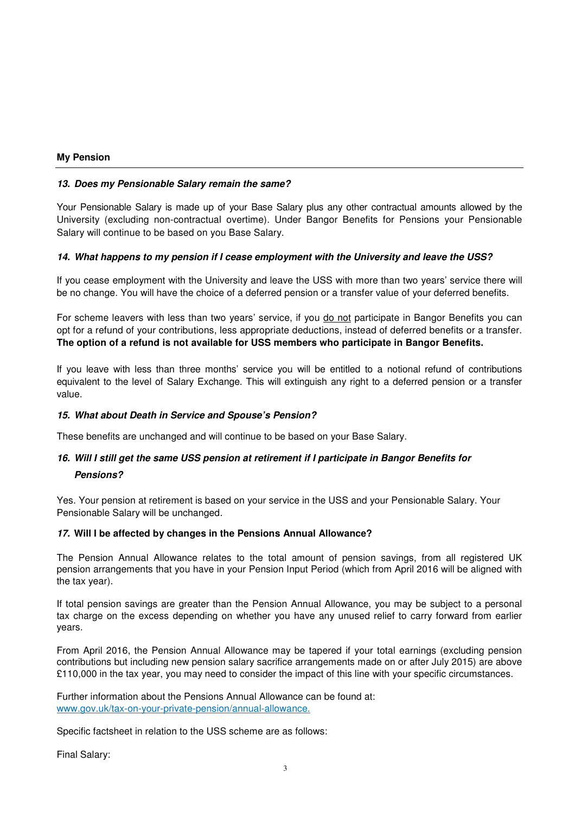### **My Pension**

#### **13. Does my Pensionable Salary remain the same?**

Your Pensionable Salary is made up of your Base Salary plus any other contractual amounts allowed by the University (excluding non-contractual overtime). Under Bangor Benefits for Pensions your Pensionable Salary will continue to be based on you Base Salary.

### **14. What happens to my pension if I cease employment with the University and leave the USS?**

If you cease employment with the University and leave the USS with more than two years' service there will be no change. You will have the choice of a deferred pension or a transfer value of your deferred benefits.

For scheme leavers with less than two years' service, if you do not participate in Bangor Benefits you can opt for a refund of your contributions, less appropriate deductions, instead of deferred benefits or a transfer. **The option of a refund is not available for USS members who participate in Bangor Benefits.**

If you leave with less than three months' service you will be entitled to a notional refund of contributions equivalent to the level of Salary Exchange. This will extinguish any right to a deferred pension or a transfer value.

### **15. What about Death in Service and Spouse's Pension?**

These benefits are unchanged and will continue to be based on your Base Salary.

# **16. Will I still get the same USS pension at retirement if I participate in Bangor Benefits for Pensions?**

Yes. Your pension at retirement is based on your service in the USS and your Pensionable Salary. Your Pensionable Salary will be unchanged.

#### **17. Will I be affected by changes in the Pensions Annual Allowance?**

The Pension Annual Allowance relates to the total amount of pension savings, from all registered UK pension arrangements that you have in your Pension Input Period (which from April 2016 will be aligned with the tax year).

If total pension savings are greater than the Pension Annual Allowance, you may be subject to a personal tax charge on the excess depending on whether you have any unused relief to carry forward from earlier years.

From April 2016, the Pension Annual Allowance may be tapered if your total earnings (excluding pension contributions but including new pension salary sacrifice arrangements made on or after July 2015) are above £110,000 in the tax year, you may need to consider the impact of this line with your specific circumstances.

Further information about the Pensions Annual Allowance can be found at: www.gov.uk/tax-on-your-private-pension/annual-allowance.

Specific factsheet in relation to the USS scheme are as follows:

Final Salary: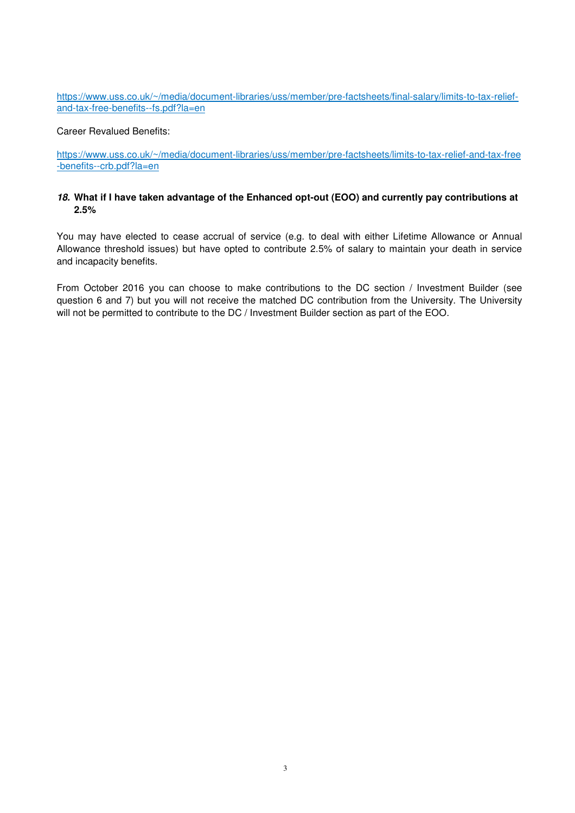## https://www.uss.co.uk/~/media/document-libraries/uss/member/pre-factsheets/final-salary/limits-to-tax-reliefand-tax-free-benefits--fs.pdf?la=en

### Career Revalued Benefits:

https://www.uss.co.uk/~/media/document-libraries/uss/member/pre-factsheets/limits-to-tax-relief-and-tax-free -benefits--crb.pdf?la=en

### **18. What if I have taken advantage of the Enhanced opt-out (EOO) and currently pay contributions at 2.5%**

You may have elected to cease accrual of service (e.g. to deal with either Lifetime Allowance or Annual Allowance threshold issues) but have opted to contribute 2.5% of salary to maintain your death in service and incapacity benefits.

From October 2016 you can choose to make contributions to the DC section / Investment Builder (see question 6 and 7) but you will not receive the matched DC contribution from the University. The University will not be permitted to contribute to the DC / Investment Builder section as part of the EOO.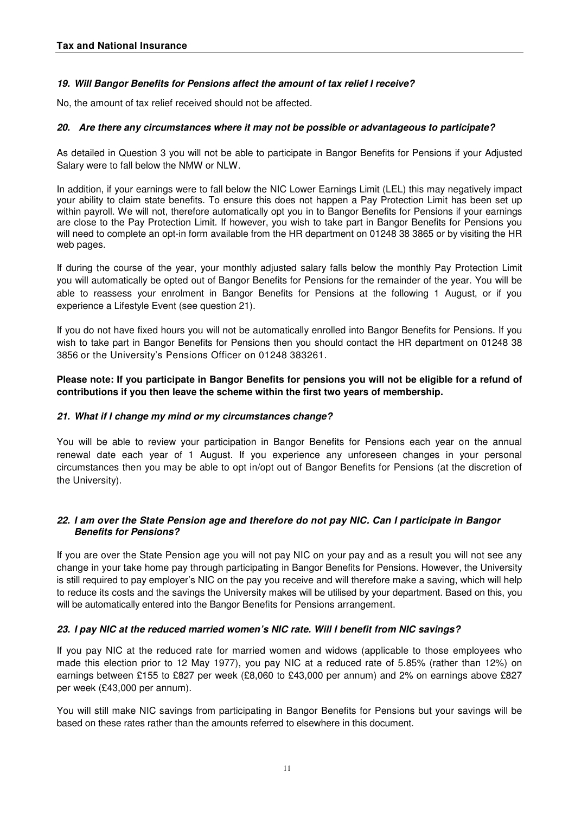## **19. Will Bangor Benefits for Pensions affect the amount of tax relief I receive?**

No, the amount of tax relief received should not be affected.

### **20. Are there any circumstances where it may not be possible or advantageous to participate?**

As detailed in Question 3 you will not be able to participate in Bangor Benefits for Pensions if your Adjusted Salary were to fall below the NMW or NLW.

In addition, if your earnings were to fall below the NIC Lower Earnings Limit (LEL) this may negatively impact your ability to claim state benefits. To ensure this does not happen a Pay Protection Limit has been set up within payroll. We will not, therefore automatically opt you in to Bangor Benefits for Pensions if your earnings are close to the Pay Protection Limit. If however, you wish to take part in Bangor Benefits for Pensions you will need to complete an opt-in form available from the HR department on 01248 38 3865 or by visiting the HR web pages.

If during the course of the year, your monthly adjusted salary falls below the monthly Pay Protection Limit you will automatically be opted out of Bangor Benefits for Pensions for the remainder of the year. You will be able to reassess your enrolment in Bangor Benefits for Pensions at the following 1 August, or if you experience a Lifestyle Event (see question 21).

If you do not have fixed hours you will not be automatically enrolled into Bangor Benefits for Pensions. If you wish to take part in Bangor Benefits for Pensions then you should contact the HR department on 01248 38 3856 or the University's Pensions Officer on 01248 383261.

**Please note: If you participate in Bangor Benefits for pensions you will not be eligible for a refund of contributions if you then leave the scheme within the first two years of membership.** 

### **21. What if I change my mind or my circumstances change?**

You will be able to review your participation in Bangor Benefits for Pensions each year on the annual renewal date each year of 1 August. If you experience any unforeseen changes in your personal circumstances then you may be able to opt in/opt out of Bangor Benefits for Pensions (at the discretion of the University).

### **22. I am over the State Pension age and therefore do not pay NIC. Can I participate in Bangor Benefits for Pensions?**

If you are over the State Pension age you will not pay NIC on your pay and as a result you will not see any change in your take home pay through participating in Bangor Benefits for Pensions. However, the University is still required to pay employer's NIC on the pay you receive and will therefore make a saving, which will help to reduce its costs and the savings the University makes will be utilised by your department. Based on this, you will be automatically entered into the Bangor Benefits for Pensions arrangement.

### **23. I pay NIC at the reduced married women's NIC rate. Will I benefit from NIC savings?**

If you pay NIC at the reduced rate for married women and widows (applicable to those employees who made this election prior to 12 May 1977), you pay NIC at a reduced rate of 5.85% (rather than 12%) on earnings between £155 to £827 per week (£8,060 to £43,000 per annum) and 2% on earnings above £827 per week (£43,000 per annum).

You will still make NIC savings from participating in Bangor Benefits for Pensions but your savings will be based on these rates rather than the amounts referred to elsewhere in this document.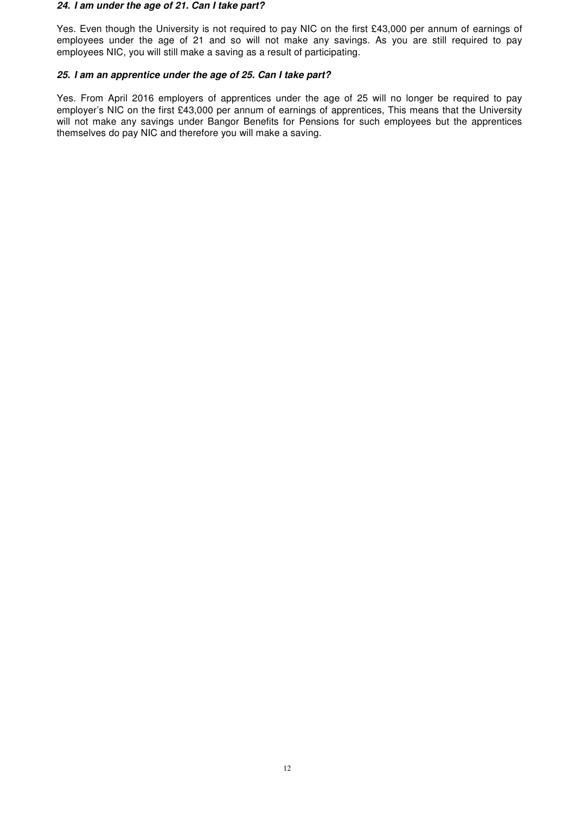#### **24. I am under the age of 21. Can I take part?**

Yes. Even though the University is not required to pay NIC on the first £43,000 per annum of earnings of employees under the age of 21 and so will not make any savings. As you are still required to pay employees NIC, you will still make a saving as a result of participating.

### **25. I am an apprentice under the age of 25. Can I take part?**

Yes. From April 2016 employers of apprentices under the age of 25 will no longer be required to pay employer's NIC on the first £43,000 per annum of earnings of apprentices, This means that the University will not make any savings under Bangor Benefits for Pensions for such employees but the apprentices themselves do pay NIC and therefore you will make a saving.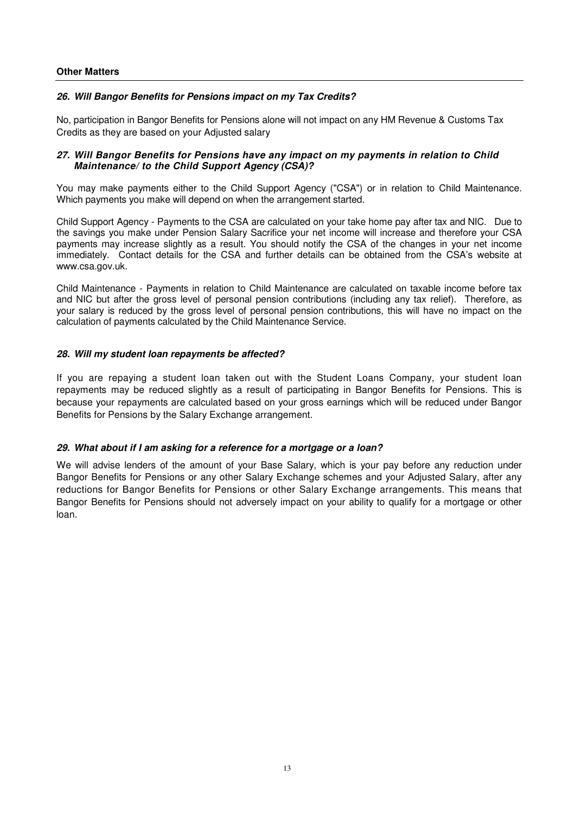#### **Other Matters**

#### **26. Will Bangor Benefits for Pensions impact on my Tax Credits?**

No, participation in Bangor Benefits for Pensions alone will not impact on any HM Revenue & Customs Tax Credits as they are based on your Adjusted salary

### **27. Will Bangor Benefits for Pensions have any impact on my payments in relation to Child Maintenance/ to the Child Support Agency (CSA)?**

You may make payments either to the Child Support Agency ("CSA") or in relation to Child Maintenance. Which payments you make will depend on when the arrangement started.

Child Support Agency - Payments to the CSA are calculated on your take home pay after tax and NIC. Due to the savings you make under Pension Salary Sacrifice your net income will increase and therefore your CSA payments may increase slightly as a result. You should notify the CSA of the changes in your net income immediately. Contact details for the CSA and further details can be obtained from the CSA's website at www.csa.gov.uk.

Child Maintenance - Payments in relation to Child Maintenance are calculated on taxable income before tax and NIC but after the gross level of personal pension contributions (including any tax relief). Therefore, as your salary is reduced by the gross level of personal pension contributions, this will have no impact on the calculation of payments calculated by the Child Maintenance Service.

### **28. Will my student loan repayments be affected?**

If you are repaying a student loan taken out with the Student Loans Company, your student loan repayments may be reduced slightly as a result of participating in Bangor Benefits for Pensions. This is because your repayments are calculated based on your gross earnings which will be reduced under Bangor Benefits for Pensions by the Salary Exchange arrangement.

### **29. What about if I am asking for a reference for a mortgage or a loan?**

We will advise lenders of the amount of your Base Salary, which is your pay before any reduction under Bangor Benefits for Pensions or any other Salary Exchange schemes and your Adjusted Salary, after any reductions for Bangor Benefits for Pensions or other Salary Exchange arrangements. This means that Bangor Benefits for Pensions should not adversely impact on your ability to qualify for a mortgage or other loan.